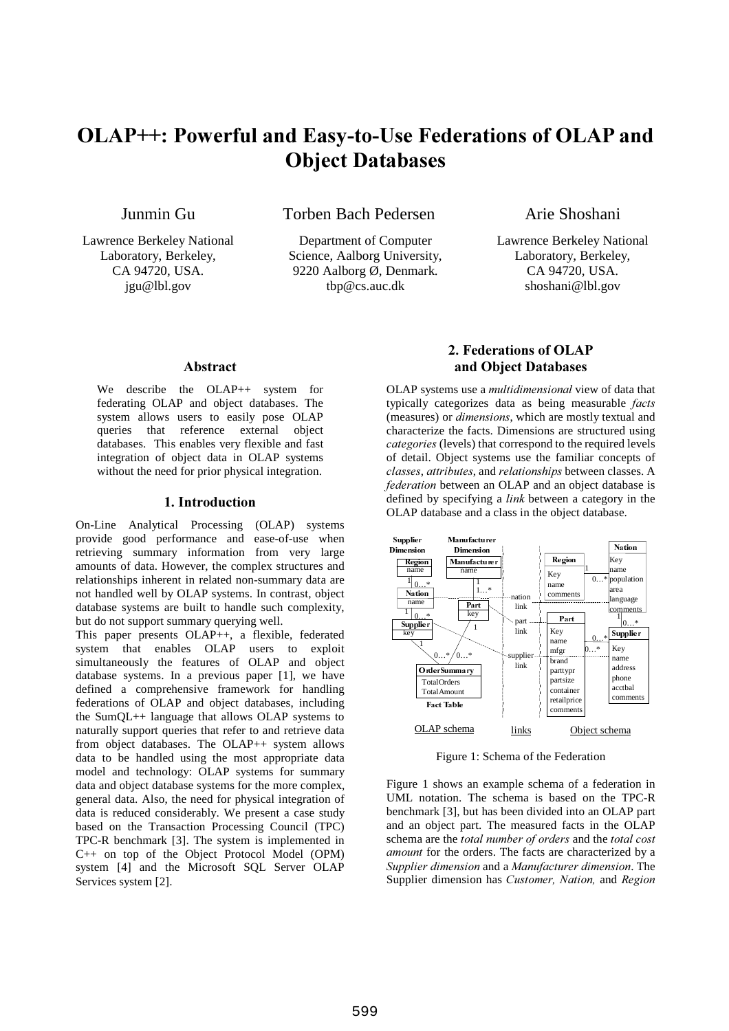# OLAP++: Powerful and Easy-to-Use Federations of OLAP and **Object Databases**

Junmin Gu

Torben Bach Pedersen

Lawrence Berkeley National Laboratory, Berkeley, CA 94720, USA. jgu@lbl.gov

Department of Computer Science, Aalborg University, 9220 Aalborg Ø, Denmark. tbp@cs.auc.dk

Arie Shoshani

Lawrence Berkeley National Laboratory, Berkeley, CA 94720, USA. shoshani@lbl.gov

#### Abstract

We describe the OLAP++ system for federating OLAP and object databases. The system allows users to easily pose OLAP queries that reference external object databases. This enables very flexible and fast integration of object data in OLAP systems without the need for prior physical integration.

# 1. Introduction

On-Line Analytical Processing (OLAP) systems provide good performance and ease-of-use when retrieving summary information from very large amounts of data. However, the complex structures and relationships inherent in related non-summary data are not handled well by OLAP systems. In contrast, object database systems are built to handle such complexity, but do not support summary querying well.

This paper presents OLAP++, a flexible, federated system that enables OLAP users to exploit simultaneously the features of OLAP and object database systems. In a previous paper [1], we have defined a comprehensive framework for handling federations of OLAP and object databases, including the SumQL++ language that allows OLAP systems to naturally support queries that refer to and retrieve data from object databases. The OLAP++ system allows data to be handled using the most appropriate data model and technology: OLAP systems for summary data and object database systems for the more complex, general data. Also, the need for physical integration of data is reduced considerably. We present a case study based on the Transaction Processing Council (TPC) TPC-R benchmark [3]. The system is implemented in C++ on top of the Object Protocol Model (OPM) system [4] and the Microsoft SQL Server OLAP Services system [2].

# 2. Federations of OLAP and Object Databases

OLAP systems use a multidimensional view of data that typically categorizes data as being measurable facts (measures) or *dimensions*, which are mostly textual and characterize the facts. Dimensions are structured using categories (levels) that correspond to the required levels of detail. Object systems use the familiar concepts of classes, attributes, and relationships between classes. A federation between an OLAP and an object database is defined by specifying a *link* between a category in the OLAP database and a class in the object database.



Figure 1: Schema of the Federation

Figure 1 shows an example schema of a federation in UML notation. The schema is based on the TPC-R benchmark [3], but has been divided into an OLAP part and an object part. The measured facts in the OLAP schema are the total number of orders and the total cost *amount* for the orders. The facts are characterized by a Supplier dimension and a Manufacturer dimension. The Supplier dimension has Customer, Nation, and Region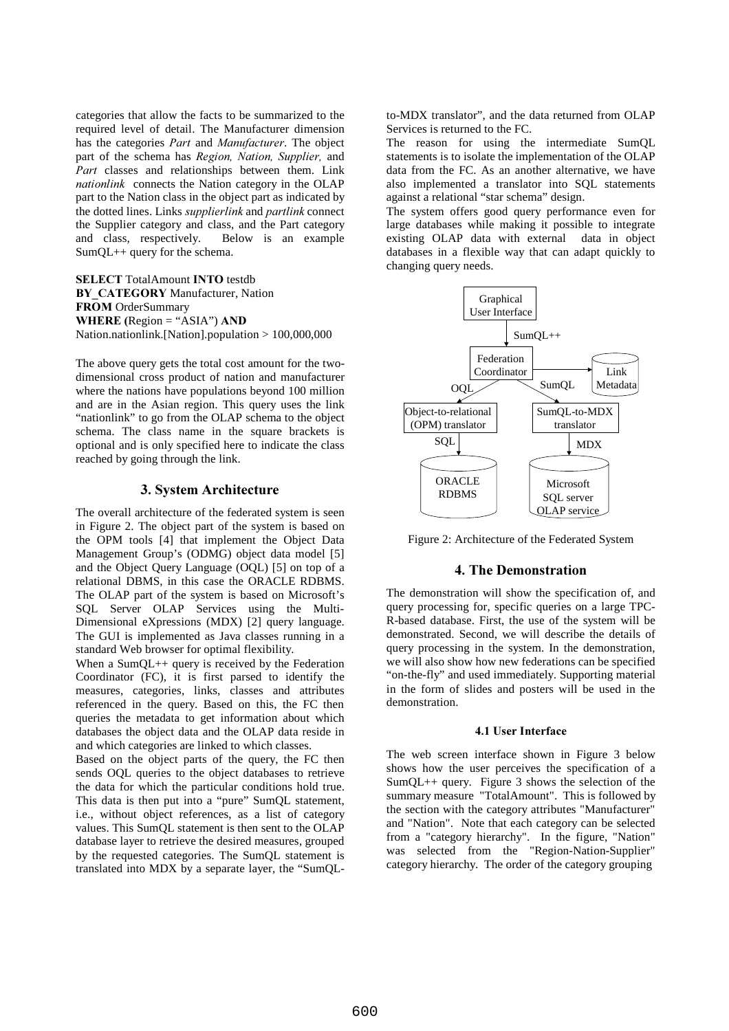categories that allow the facts to be summarized to the required level of detail. The Manufacturer dimension has the categories Part and Manufacturer. The object part of the schema has Region, Nation, Supplier, and Part classes and relationships between them. Link nationlink connects the Nation category in the OLAP part to the Nation class in the object part as indicated by the dotted lines. Links *supplierlink* and *partlink* connect the Supplier category and class, and the Part category and class, respectively. Below is an example SumQL++ query for the schema.

**SELECT TotalAmount INTO testdb** BY CATEGORY Manufacturer, Nation **FROM** OrderSummary **WHERE** (Region = "ASIA")  $AND$ Nation.nationlink.[Nation].population > 100,000,000

The above query gets the total cost amount for the twodimensional cross product of nation and manufacturer where the nations have populations beyond 100 million and are in the Asian region. This query uses the link "nationlink" to go from the OLAP schema to the object schema. The class name in the square brackets is optional and is only specified here to indicate the class reached by going through the link.

#### **3. System Architecture**

The overall architecture of the federated system is seen in Figure 2. The object part of the system is based on the OPM tools [4] that implement the Object Data Management Group's (ODMG) object data model [5] and the Object Query Language (OQL) [5] on top of a relational DBMS, in this case the ORACLE RDBMS. The OLAP part of the system is based on Microsoft's SQL Server OLAP Services using the Multi-Dimensional eXpressions (MDX) [2] query language. The GUI is implemented as Java classes running in a standard Web browser for optimal flexibility.

When a SumQL++ query is received by the Federation Coordinator (FC), it is first parsed to identify the measures, categories, links, classes and attributes referenced in the query. Based on this, the FC then queries the metadata to get information about which databases the object data and the OLAP data reside in and which categories are linked to which classes.

Based on the object parts of the query, the FC then sends OQL queries to the object databases to retrieve the data for which the particular conditions hold true. This data is then put into a "pure" SumQL statement, i.e., without object references, as a list of category values. This SumQL statement is then sent to the OLAP database layer to retrieve the desired measures, grouped by the requested categories. The SumQL statement is translated into MDX by a separate layer, the "SumQL-

to-MDX translator", and the data returned from OLAP Services is returned to the FC.

The reason for using the intermediate SumQL statements is to isolate the implementation of the OLAP data from the FC. As an another alternative, we have also implemented a translator into SQL statements against a relational "star schema" design.

The system offers good query performance even for large databases while making it possible to integrate existing OLAP data with external data in object databases in a flexible way that can adapt quickly to changing query needs.



Figure 2: Architecture of the Federated System

## 4. The Demonstration

The demonstration will show the specification of, and query processing for, specific queries on a large TPC-R-based database. First, the use of the system will be demonstrated. Second, we will describe the details of query processing in the system. In the demonstration, we will also show how new federations can be specified "on-the-fly" and used immediately. Supporting material in the form of slides and posters will be used in the demonstration.

#### 4.1 User Interface

The web screen interface shown in Figure 3 below shows how the user perceives the specification of a SumQL++ query. Figure 3 shows the selection of the summary measure "TotalAmount". This is followed by the section with the category attributes "Manufacturer" and "Nation". Note that each category can be selected from a "category hierarchy". In the figure, "Nation" was selected from the "Region-Nation-Supplier" category hierarchy. The order of the category grouping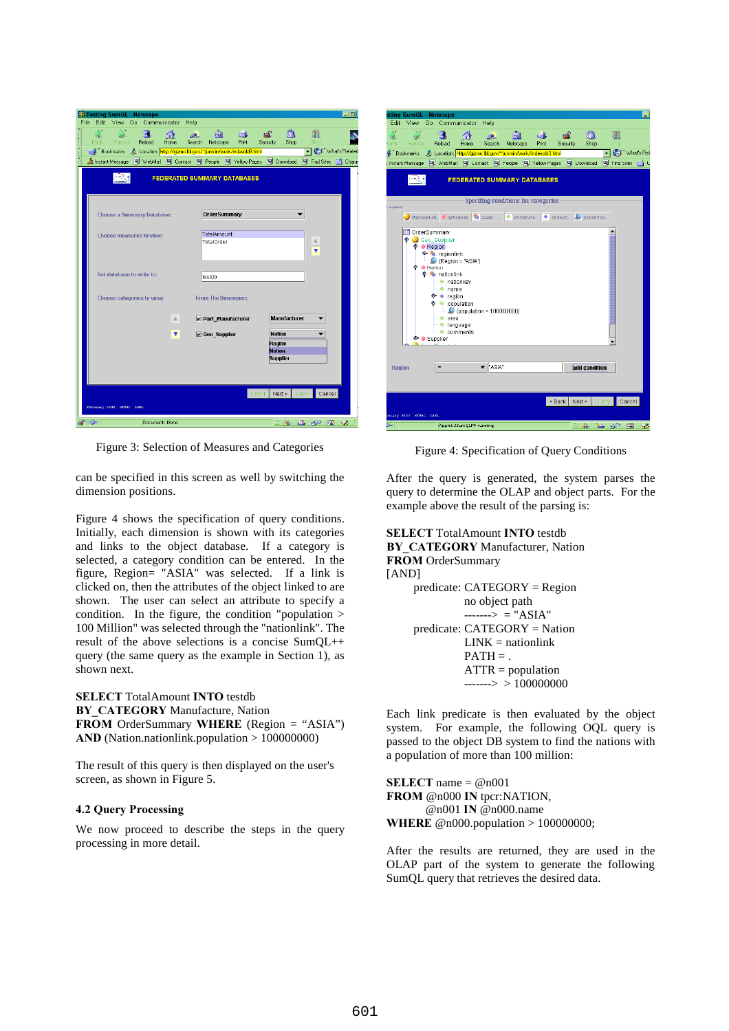|                    | <b>No Testing SumQL</b> - Netscape |                                   |  |        |                           |                  |                                                                               |               |                         |                                  |                                                                                                                                                                                | $\overline{\blacksquare}$ |  |  |
|--------------------|------------------------------------|-----------------------------------|--|--------|---------------------------|------------------|-------------------------------------------------------------------------------|---------------|-------------------------|----------------------------------|--------------------------------------------------------------------------------------------------------------------------------------------------------------------------------|---------------------------|--|--|
| File               |                                    | $\geq$                            |  |        | Edit View Go Communicator | Help             | लैंगे                                                                         |               | - 60                    | ி                                | 讚                                                                                                                                                                              |                           |  |  |
| <b>With School</b> | Back                               | Forward                           |  | Reload | Home                      | المحار<br>Search | Netscape                                                                      | GB.<br>Print: | Security                | Shop                             | Stop                                                                                                                                                                           |                           |  |  |
| 大蒜                 |                                    |                                   |  |        |                           |                  | Bookmarks & Location: http://gizmo.lbl.gov/"junmin/work/indexold3.html        |               |                         |                                  | Vhat's Related                                                                                                                                                                 |                           |  |  |
| t                  |                                    |                                   |  |        |                           |                  | 《 Instant Message [델 WebMail [델 Contact [델 People [델 Yellow Pages [떡 Download |               |                         |                                  | Find Sites <a> find<br/>Sites<br/></a> find Sites<br>find Sites<br>find Sites find Sites find Sites find Sites find Sites find Sites find Sites find Sites find Sites find Sit |                           |  |  |
|                    | <b>FEDERATED SUMMARY DATABASES</b> |                                   |  |        |                           |                  |                                                                               |               |                         |                                  |                                                                                                                                                                                |                           |  |  |
|                    |                                    | <b>Choose a Summary Database:</b> |  |        |                           |                  | <b>OrderSummary</b>                                                           |               |                         |                                  |                                                                                                                                                                                |                           |  |  |
|                    |                                    | Choose measures to view:          |  |        |                           |                  | TotalAmount<br>TotalOrder                                                     |               |                         |                                  | 盀                                                                                                                                                                              |                           |  |  |
|                    |                                    | Set database to write to:         |  |        |                           |                  | testdb                                                                        |               |                         |                                  |                                                                                                                                                                                |                           |  |  |
|                    |                                    | Choose categories to view:        |  |        |                           |                  | <b>From The Dimension:</b>                                                    |               |                         |                                  |                                                                                                                                                                                |                           |  |  |
|                    |                                    |                                   |  |        | A.                        |                  | Part_Manufacturer                                                             |               |                         | Manufacturer                     |                                                                                                                                                                                |                           |  |  |
|                    |                                    |                                   |  |        | ▼                         |                  | $\nu$ Geo Supplier                                                            |               | Region<br><b>Nation</b> | <b>Nation</b><br><b>Supplier</b> |                                                                                                                                                                                |                           |  |  |
|                    | February 2000, NERSC. LEWI-        |                                   |  |        |                           |                  |                                                                               |               | $\leq$ Back             | Next >                           | Query<br>Cancel                                                                                                                                                                |                           |  |  |
|                    |                                    |                                   |  |        |                           |                  |                                                                               |               |                         |                                  |                                                                                                                                                                                |                           |  |  |
|                    | $\blacksquare$                     |                                   |  |        | Document: Done            |                  |                                                                               |               |                         | 目遜                               | 86 SP                                                                                                                                                                          | Ł<br>Œ.                   |  |  |

Figure 3: Selection of Measures and Categories

can be specified in this screen as well by switching the dimension positions.

Figure 4 shows the specification of query conditions. Initially, each dimension is shown with its categories and links to the object database. If a category is selected, a category condition can be entered. In the figure, Region= "ASIA" was selected. If a link is clicked on, then the attributes of the object linked to are shown. The user can select an attribute to specify a condition. In the figure, the condition "population > 100 Million" was selected through the "nationlink". The result of the above selections is a concise SumQL++ query (the same query as the example in Section 1), as shown next.

**SELECT** TotalAmount **INTO** testdb BY CATEGORY Manufacture, Nation FROM OrderSummary WHERE (Region = "ASIA")  $AND$  (Nation.nationlink.population  $> 100000000$ )

The result of this query is then displayed on the user's screen, as shown in Figure 5.

#### 4.2 Query Processing

We now proceed to describe the steps in the query processing in more detail.

|                                    | sting SumQL - Netscape   |                   |                                            |                             |                                    |                                                                           |       |          |                 |                                                    |  |
|------------------------------------|--------------------------|-------------------|--------------------------------------------|-----------------------------|------------------------------------|---------------------------------------------------------------------------|-------|----------|-----------------|----------------------------------------------------|--|
| Edit                               | View                     | Go                |                                            | Communicator                | Help                               |                                                                           |       |          |                 |                                                    |  |
| <b>A</b>                           |                          |                   |                                            |                             |                                    | लैंगे                                                                     |       | டி       | ி               | 3                                                  |  |
| Back                               | Forward<br>Bookmarks     |                   | Reload                                     | Home                        | Search                             | Netscape<br>AL Location: http://gizmo.lbl.gov/~junmin/work/indexold3.html | Print | Security | Shop            | <b>Stop</b><br><b>T</b> II <sup>T</sup> What's Rel |  |
|                                    |                          |                   |                                            |                             |                                    | (Instant Message 网 WebMail 网 Contact 网 People 网 Yellow Pages 网 Download   |       |          |                 | 图 Find Sites [16] C                                |  |
|                                    |                          |                   |                                            |                             |                                    |                                                                           |       |          |                 |                                                    |  |
| <b>FEDERATED SUMMARY DATABASES</b> |                          |                   |                                            |                             |                                    |                                                                           |       |          |                 |                                                    |  |
|                                    |                          |                   |                                            |                             |                                    |                                                                           |       |          |                 |                                                    |  |
| Legend:                            |                          |                   |                                            |                             |                                    | Specifing conditions for categories                                       |       |          |                 |                                                    |  |
|                                    |                          |                   |                                            | Dimension Category V link   |                                    | attrbute                                                                  |       | bigect.  | conditon        |                                                    |  |
|                                    |                          |                   |                                            |                             |                                    |                                                                           |       |          |                 |                                                    |  |
|                                    |                          |                   | OrderSummary                               |                             |                                    |                                                                           |       |          |                 |                                                    |  |
|                                    |                          |                   | <b>P</b> Geo_Supplier                      |                             |                                    |                                                                           |       |          |                 |                                                    |  |
|                                    |                          |                   | ● Region<br>$\bullet$ $\bullet$ regionlink |                             |                                    |                                                                           |       |          |                 |                                                    |  |
|                                    |                          |                   |                                            | $\bullet$ (Region = "ASIA") |                                    |                                                                           |       |          |                 |                                                    |  |
|                                    |                          | <b>● ● Nation</b> |                                            |                             |                                    |                                                                           |       |          |                 |                                                    |  |
|                                    |                          |                   | <b>O</b> nationlink                        |                             |                                    |                                                                           |       |          |                 |                                                    |  |
|                                    |                          |                   | · nationkey                                |                             |                                    |                                                                           |       |          |                 |                                                    |  |
|                                    |                          |                   | $•$ name                                   |                             |                                    |                                                                           |       |          |                 |                                                    |  |
|                                    |                          |                   | $\bullet \bullet$ region                   |                             |                                    |                                                                           |       |          |                 |                                                    |  |
|                                    |                          |                   | $\bullet$ population                       |                             | $\bullet$ (population > 100000000) |                                                                           |       |          |                 |                                                    |  |
|                                    |                          |                   | • are a                                    |                             |                                    |                                                                           |       |          |                 |                                                    |  |
|                                    |                          |                   | $\bullet$ language                         |                             |                                    |                                                                           |       |          |                 |                                                    |  |
| $\bullet$ comments                 |                          |                   |                                            |                             |                                    |                                                                           |       |          |                 |                                                    |  |
|                                    |                          |                   | <b>O- Supplier</b>                         |                             |                                    |                                                                           |       |          |                 |                                                    |  |
|                                    |                          |                   |                                            |                             |                                    |                                                                           |       |          |                 |                                                    |  |
|                                    |                          |                   |                                            |                             |                                    |                                                                           |       |          |                 |                                                    |  |
|                                    |                          |                   |                                            |                             |                                    |                                                                           |       |          |                 |                                                    |  |
| <b>Region</b>                      |                          |                   |                                            |                             | "ASIA"                             |                                                                           |       |          | add condition   |                                                    |  |
|                                    |                          |                   |                                            |                             |                                    |                                                                           |       |          |                 |                                                    |  |
|                                    |                          |                   |                                            |                             |                                    |                                                                           |       |          |                 |                                                    |  |
|                                    |                          |                   |                                            |                             |                                    |                                                                           |       |          |                 |                                                    |  |
|                                    |                          |                   |                                            |                             |                                    |                                                                           |       | « Back   | Next ><br>Query | Cancel                                             |  |
|                                    | arary 2000, NERSC, LEWI- |                   |                                            |                             |                                    |                                                                           |       |          |                 |                                                    |  |

Figure 4: Specification of Query Conditions

After the query is generated, the system parses the query to determine the OLAP and object parts. For the example above the result of the parsing is:

#### **SELECT** TotalAmount **INTO** testdb BY CATEGORY Manufacturer, Nation **FROM** OrderSummary

# [AND]

 predicate: CATEGORY = Region no object path  $---->$  = "ASIA" predicate: CATEGORY = Nation  $LINK =$  nationlink  $PATH = .$  $ATTR = population$  $----> 100000000$ 

Each link predicate is then evaluated by the object system. For example, the following OQL query is passed to the object DB system to find the nations with a population of more than 100 million:

**SELECT** name =  $@n001$ FROM @n000 IN tpcr:NATION,  $@n001$  IN  $@n000$ .name **WHERE** @n000.population > 100000000;

After the results are returned, they are used in the OLAP part of the system to generate the following SumQL query that retrieves the desired data.